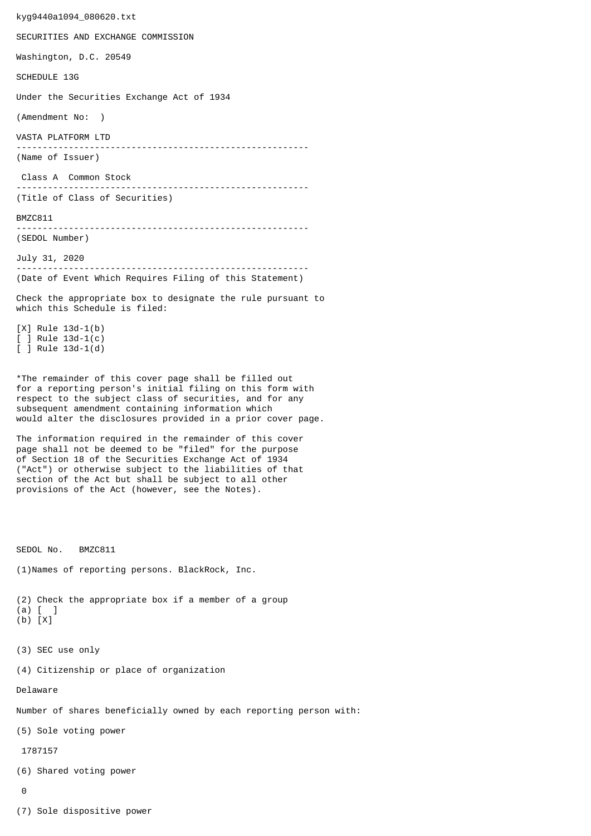kyg9440a1094\_080620.txt SECURITIES AND EXCHANGE COMMISSION Washington, D.C. 20549 SCHEDULE 13G Under the Securities Exchange Act of 1934 (Amendment No: ) VASTA PLATFORM LTD -------------------------------------------------------- (Name of Issuer) Class A Common Stock -------------------------------------------------------- (Title of Class of Securities) BMZC811 -------------------------------------------------------- (SEDOL Number) July 31, 2020 -------------------------------------------------------- (Date of Event Which Requires Filing of this Statement) Check the appropriate box to designate the rule pursuant to which this Schedule is filed: [X] Rule 13d-1(b) [ ] Rule 13d-1(c) [ ] Rule 13d-1(d) \*The remainder of this cover page shall be filled out for a reporting person's initial filing on this form with respect to the subject class of securities, and for any subsequent amendment containing information which would alter the disclosures provided in a prior cover page. The information required in the remainder of this cover page shall not be deemed to be "filed" for the purpose of Section 18 of the Securities Exchange Act of 1934 ("Act") or otherwise subject to the liabilities of that section of the Act but shall be subject to all other provisions of the Act (however, see the Notes). SEDOL No. BMZC811 (1)Names of reporting persons. BlackRock, Inc. (2) Check the appropriate box if a member of a group (a) [ ] (b) [X] (3) SEC use only (4) Citizenship or place of organization Delaware Number of shares beneficially owned by each reporting person with: (5) Sole voting power 1787157 (6) Shared voting power  $\Omega$ 

(7) Sole dispositive power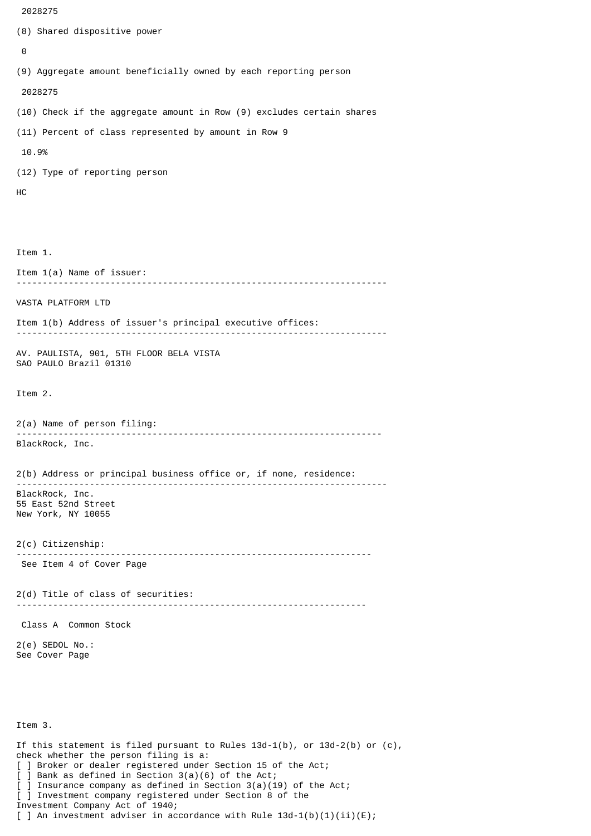```
 2028275
(8) Shared dispositive power
 \boldsymbol{\Theta}(9) Aggregate amount beneficially owned by each reporting person
  2028275
(10) Check if the aggregate amount in Row (9) excludes certain shares
(11) Percent of class represented by amount in Row 9
 10.9%
(12) Type of reporting person
HC
Item 1.
Item 1(a) Name of issuer:
           -----------------------------------------------------------------------
VASTA PLATFORM LTD
Item 1(b) Address of issuer's principal executive offices:
-----------------------------------------------------------------------
AV. PAULISTA, 901, 5TH FLOOR BELA VISTA
SAO PAULO Brazil 01310
Item 2.
2(a) Name of person filing:
              ----------------------------------------------------------------------
BlackRock, Inc.
2(b) Address or principal business office or, if none, residence:
 -----------------------------------------------------------------------
BlackRock, Inc.
55 East 52nd Street
New York, NY 10055
2(c) Citizenship:
                            --------------------------------------------------------------------
 See Item 4 of Cover Page
2(d) Title of class of securities:
                                      -------------------------------------------------------------------
 Class A Common Stock
2(e) SEDOL No.:
See Cover Page
Item 3.
If this statement is filed pursuant to Rules 13d-1(b), or 13d-2(b) or (c),
check whether the person filing is a:
```
[ ] Broker or dealer registered under Section 15 of the Act;

[ ] Investment company registered under Section 8 of the

] Insurance company as defined in Section  $3(a)(19)$  of the Act;

[ ] An investment adviser in accordance with Rule  $13d-1(b)(1)(ii)(E)$ ;

[ ] Bank as defined in Section 3(a)(6) of the Act;

Investment Company Act of 1940;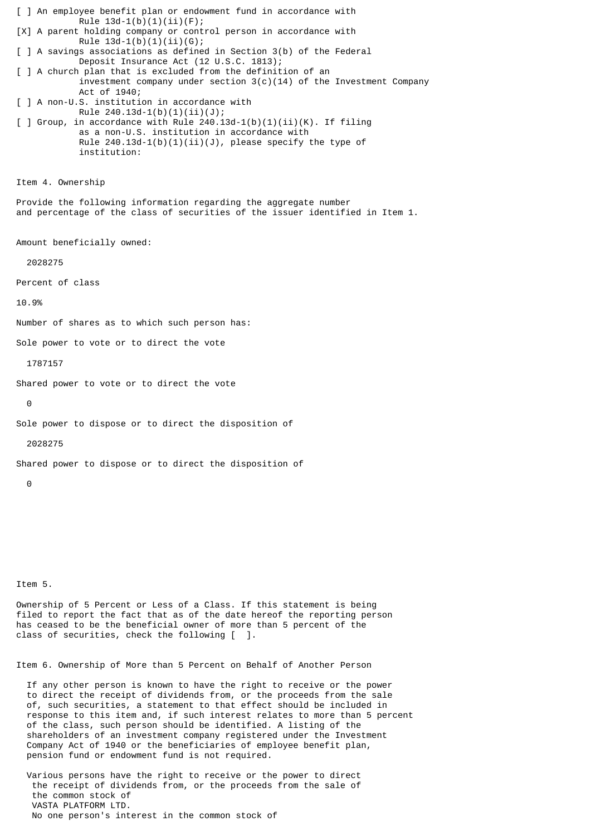[ ] An employee benefit plan or endowment fund in accordance with Rule  $13d-1(b)(1)(ii)(F);$ [X] A parent holding company or control person in accordance with Rule  $13d-1(b)(1)(ii)(G);$ [ ] A savings associations as defined in Section 3(b) of the Federal Deposit Insurance Act (12 U.S.C. 1813); [ ] A church plan that is excluded from the definition of an investment company under section  $3(c)(14)$  of the Investment Company Act of 1940; [ ] A non-U.S. institution in accordance with Rule 240.13d-1(b)(1)(ii)(J);  $\lceil$  ] Group, in accordance with Rule 240.13d-1(b)(1)(ii)(K). If filing as a non-U.S. institution in accordance with Rule  $240.13d-1(b)(1)(ii)(J)$ , please specify the type of institution: Item 4. Ownership Provide the following information regarding the aggregate number and percentage of the class of securities of the issuer identified in Item 1. Amount beneficially owned: 2028275 Percent of class 10.9% Number of shares as to which such person has: Sole power to vote or to direct the vote 1787157 Shared power to vote or to direct the vote  $\Theta$ Sole power to dispose or to direct the disposition of 2028275 Shared power to dispose or to direct the disposition of  $\Omega$ 

Item 5.

Ownership of 5 Percent or Less of a Class. If this statement is being filed to report the fact that as of the date hereof the reporting person has ceased to be the beneficial owner of more than 5 percent of the class of securities, check the following [ ].

Item 6. Ownership of More than 5 Percent on Behalf of Another Person

 If any other person is known to have the right to receive or the power to direct the receipt of dividends from, or the proceeds from the sale of, such securities, a statement to that effect should be included in response to this item and, if such interest relates to more than 5 percent of the class, such person should be identified. A listing of the shareholders of an investment company registered under the Investment Company Act of 1940 or the beneficiaries of employee benefit plan, pension fund or endowment fund is not required.

 Various persons have the right to receive or the power to direct the receipt of dividends from, or the proceeds from the sale of the common stock of VASTA PLATFORM LTD. No one person's interest in the common stock of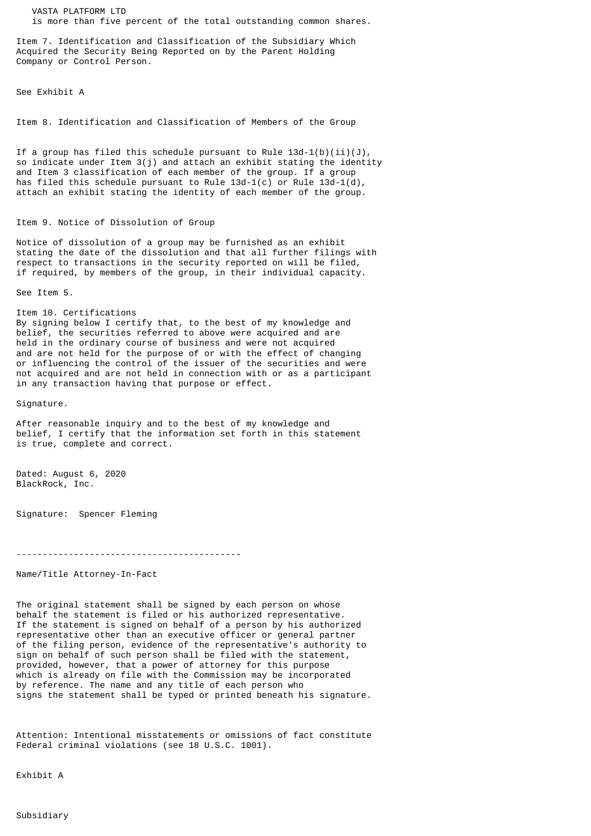VASTA PLATFORM LTD is more than five percent of the total outstanding common shares.

Item 7. Identification and Classification of the Subsidiary Which Acquired the Security Being Reported on by the Parent Holding Company or Control Person.

See Exhibit A

Item 8. Identification and Classification of Members of the Group

If a group has filed this schedule pursuant to Rule  $13d-1(b)(ii)(J)$ , so indicate under Item 3(j) and attach an exhibit stating the identity and Item 3 classification of each member of the group. If a group has filed this schedule pursuant to Rule  $13d-1(c)$  or Rule  $13d-1(d)$ , attach an exhibit stating the identity of each member of the group.

## Item 9. Notice of Dissolution of Group

Notice of dissolution of a group may be furnished as an exhibit stating the date of the dissolution and that all further filings with respect to transactions in the security reported on will be filed, if required, by members of the group, in their individual capacity.

See Item 5.

Item 10. Certifications By signing below I certify that, to the best of my knowledge and belief, the securities referred to above were acquired and are held in the ordinary course of business and were not acquired and are not held for the purpose of or with the effect of changing or influencing the control of the issuer of the securities and were not acquired and are not held in connection with or as a participant

in any transaction having that purpose or effect.

Signature.

After reasonable inquiry and to the best of my knowledge and belief, I certify that the information set forth in this statement is true, complete and correct.

Dated: August 6, 2020 BlackRock, Inc.

Signature: Spencer Fleming

-------------------------------------------

Name/Title Attorney-In-Fact

The original statement shall be signed by each person on whose behalf the statement is filed or his authorized representative. If the statement is signed on behalf of a person by his authorized representative other than an executive officer or general partner of the filing person, evidence of the representative's authority to sign on behalf of such person shall be filed with the statement, provided, however, that a power of attorney for this purpose which is already on file with the Commission may be incorporated by reference. The name and any title of each person who signs the statement shall be typed or printed beneath his signature.

Attention: Intentional misstatements or omissions of fact constitute Federal criminal violations (see 18 U.S.C. 1001).

Exhibit A